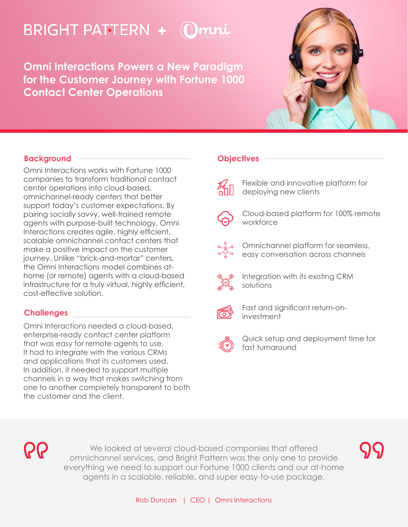# **BRIGHT PATTERN + (**

**Omni Interactions Powers a New Paradigm for the Customer Journey with Fortune 1000 Contact Center Operations**



## **Background**

Omni Interactions works with Fortune 1000 companies to transform traditional contact center operations into cloud-based, omnichannel-ready centers that better support today's customer expectations. By pairing socially savvy, well-trained remote agents with purpose-built technology, Omni Interactions creates agile, highly efficient, scalable omnichannel contact centers that make a positive impact on the customer journey. Unlike "brick-and-mortar" centers, the Omni Interactions model combines athome (or remote) agents with a cloud-based infrastructure for a truly virtual, highly efficient, cost-effective solution.

## **Challenges**

Omni Interactions needed a cloud-based, enterprise-ready contact center platform that was easy for remote agents to use. It had to integrate with the various CRMs and applications that its customers used. In addition, it needed to support multiple channels in a way that makes switching from one to another completely transparent to both the customer and the client.

#### **Objectives**

Flexible and innovative platform for deploying new clients



Cloud-based platform for 100% remote workforce





Integration with its existing CRM solutions



Fast and significant return-oninvestment



Quick setup and deployment time for fast turnaround

RQ

We looked at several cloud-based companies that offered omnichannel services, and Bright Pattern was the only one to provide everything we need to support our Fortune 1000 clients and our at-home agents in a scalable, reliable, and super easy-to-use package.